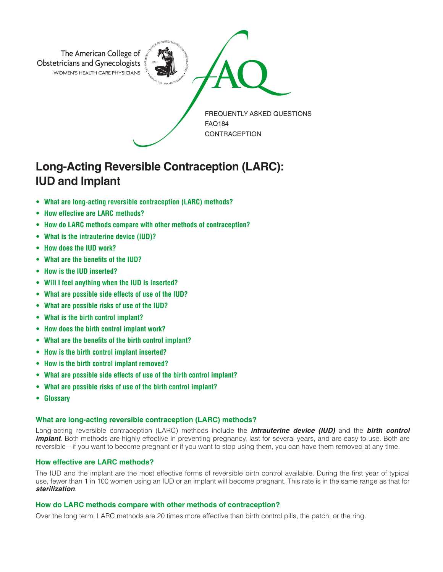

# **Long-Acting Reversible Contraception (LARC): IUD and Implant**

- **• What are long-acting reversible contraception (LARC) methods?**
- **How effective are LARC methods?**
- **How do LARC methods compare with other methods of contraception?**
- **What is the intrauterine device (IUD)?**
- **How does the IUD work?**
- **What are the benefits of the IUD?**
- **How is the IUD inserted?**
- **Will I feel anything when the IUD is inserted?**
- **What are possible side effects of use of the IUD?**
- **What are possible risks of use of the IUD?**
- **What is the birth control implant?**
- **How does the birth control implant work?**
- **What are the benefits of the birth control implant?**
- **How is the birth control implant inserted?**
- **How is the birth control implant removed?**
- **What are possible side effects of use of the birth control implant?**
- **What are possible risks of use of the birth control implant?**
- **• Glossary**

### **What are long-acting reversible contraception (LARC) methods?**

Long-acting reversible contraception (LARC) methods include the *intrauterine device (IUD)* and the *birth control implant*. Both methods are highly effective in preventing pregnancy, last for several years, and are easy to use. Both are reversible—if you want to become pregnant or if you want to stop using them, you can have them removed at any time.

## **How effective are LARC methods?**

The IUD and the implant are the most effective forms of reversible birth control available. During the first year of typical use, fewer than 1 in 100 women using an IUD or an implant will become pregnant. This rate is in the same range as that for *sterilization*.

### **How do LARC methods compare with other methods of contraception?**

Over the long term, LARC methods are 20 times more effective than birth control pills, the patch, or the ring.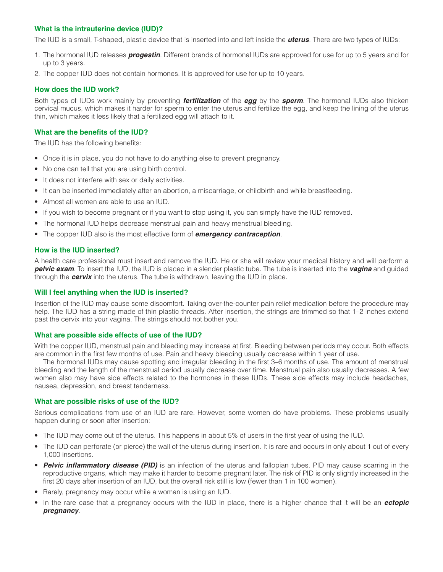## **What is the intrauterine device (IUD)?**

The IUD is a small, T-shaped, plastic device that is inserted into and left inside the *uterus*. There are two types of IUDs:

- 1. The hormonal IUD releases *progestin*. Different brands of hormonal IUDs are approved for use for up to 5 years and for up to 3 years.
- 2. The copper IUD does not contain hormones. It is approved for use for up to 10 years.

## **How does the IUD work?**

Both types of IUDs work mainly by preventing *fertilization* of the *egg* by the *sperm*. The hormonal IUDs also thicken cervical mucus, which makes it harder for sperm to enter the uterus and fertilize the egg, and keep the lining of the uterus thin, which makes it less likely that a fertilized egg will attach to it.

## **What are the benefits of the IUD?**

The IUD has the following benefits:

- Once it is in place, you do not have to do anything else to prevent pregnancy.
- No one can tell that you are using birth control.
- It does not interfere with sex or daily activities.
- It can be inserted immediately after an abortion, a miscarriage, or childbirth and while breastfeeding.
- Almost all women are able to use an IUD.
- If you wish to become pregnant or if you want to stop using it, you can simply have the IUD removed.
- The hormonal IUD helps decrease menstrual pain and heavy menstrual bleeding.
- The copper IUD also is the most effective form of *emergency contraception*.

### **How is the IUD inserted?**

A health care professional must insert and remove the IUD. He or she will review your medical history and will perform a *pelvic exam*. To insert the IUD, the IUD is placed in a slender plastic tube. The tube is inserted into the *vagina* and guided through the *cervix* into the uterus. The tube is withdrawn, leaving the IUD in place.

### **Will I feel anything when the IUD is inserted?**

Insertion of the IUD may cause some discomfort. Taking over-the-counter pain relief medication before the procedure may help. The IUD has a string made of thin plastic threads. After insertion, the strings are trimmed so that 1–2 inches extend past the cervix into your vagina. The strings should not bother you.

#### **What are possible side effects of use of the IUD?**

With the copper IUD, menstrual pain and bleeding may increase at first. Bleeding between periods may occur. Both effects are common in the first few months of use. Pain and heavy bleeding usually decrease within 1 year of use.

The hormonal IUDs may cause spotting and irregular bleeding in the first 3–6 months of use. The amount of menstrual bleeding and the length of the menstrual period usually decrease over time. Menstrual pain also usually decreases. A few women also may have side effects related to the hormones in these IUDs. These side effects may include headaches, nausea, depression, and breast tenderness.

### **What are possible risks of use of the IUD?**

Serious complications from use of an IUD are rare. However, some women do have problems. These problems usually happen during or soon after insertion:

- The IUD may come out of the uterus. This happens in about 5% of users in the first year of using the IUD.
- The IUD can perforate (or pierce) the wall of the uterus during insertion. It is rare and occurs in only about 1 out of every 1,000 insertions.
- **Pelvic inflammatory disease (PID)** is an infection of the uterus and fallopian tubes. PID may cause scarring in the reproductive organs, which may make it harder to become pregnant later. The risk of PID is only slightly increased in the first 20 days after insertion of an IUD, but the overall risk still is low (fewer than 1 in 100 women).
- Rarely, pregnancy may occur while a woman is using an IUD.
- In the rare case that a pregnancy occurs with the IUD in place, there is a higher chance that it will be an *ectopic pregnancy*.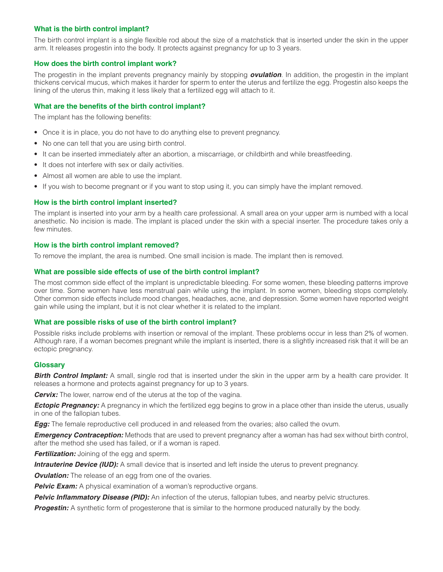## **What is the birth control implant?**

The birth control implant is a single flexible rod about the size of a matchstick that is inserted under the skin in the upper arm. It releases progestin into the body. It protects against pregnancy for up to 3 years.

## **How does the birth control implant work?**

The progestin in the implant prevents pregnancy mainly by stopping *ovulation*. In addition, the progestin in the implant thickens cervical mucus, which makes it harder for sperm to enter the uterus and fertilize the egg. Progestin also keeps the lining of the uterus thin, making it less likely that a fertilized egg will attach to it.

## **What are the benefits of the birth control implant?**

The implant has the following benefits:

- Once it is in place, you do not have to do anything else to prevent pregnancy.
- No one can tell that you are using birth control.
- It can be inserted immediately after an abortion, a miscarriage, or childbirth and while breastfeeding.
- It does not interfere with sex or daily activities.
- Almost all women are able to use the implant.
- If you wish to become pregnant or if you want to stop using it, you can simply have the implant removed.

## **How is the birth control implant inserted?**

The implant is inserted into your arm by a health care professional. A small area on your upper arm is numbed with a local anesthetic. No incision is made. The implant is placed under the skin with a special inserter. The procedure takes only a few minutes.

### **How is the birth control implant removed?**

To remove the implant, the area is numbed. One small incision is made. The implant then is removed.

## **What are possible side effects of use of the birth control implant?**

The most common side effect of the implant is unpredictable bleeding. For some women, these bleeding patterns improve over time. Some women have less menstrual pain while using the implant. In some women, bleeding stops completely. Other common side effects include mood changes, headaches, acne, and depression. Some women have reported weight gain while using the implant, but it is not clear whether it is related to the implant.

### **What are possible risks of use of the birth control implant?**

Possible risks include problems with insertion or removal of the implant. These problems occur in less than 2% of women. Although rare, if a woman becomes pregnant while the implant is inserted, there is a slightly increased risk that it will be an ectopic pregnancy.

### **Glossary**

**Birth Control Implant:** A small, single rod that is inserted under the skin in the upper arm by a health care provider. It releases a hormone and protects against pregnancy for up to 3 years.

*Cervix:* The lower, narrow end of the uterus at the top of the vagina.

**Ectopic Pregnancy:** A pregnancy in which the fertilized egg begins to grow in a place other than inside the uterus, usually in one of the fallopian tubes.

*Egg:* The female reproductive cell produced in and released from the ovaries; also called the ovum.

*Emergency Contraception:* Methods that are used to prevent pregnancy after a woman has had sex without birth control, after the method she used has failed, or if a woman is raped.

*Fertilization:* Joining of the egg and sperm.

**Intrauterine Device (IUD):** A small device that is inserted and left inside the uterus to prevent pregnancy.

*Ovulation:* The release of an egg from one of the ovaries.

**Pelvic Exam:** A physical examination of a woman's reproductive organs.

**Pelvic Inflammatory Disease (PID):** An infection of the uterus, fallopian tubes, and nearby pelvic structures.

**Progestin:** A synthetic form of progesterone that is similar to the hormone produced naturally by the body.